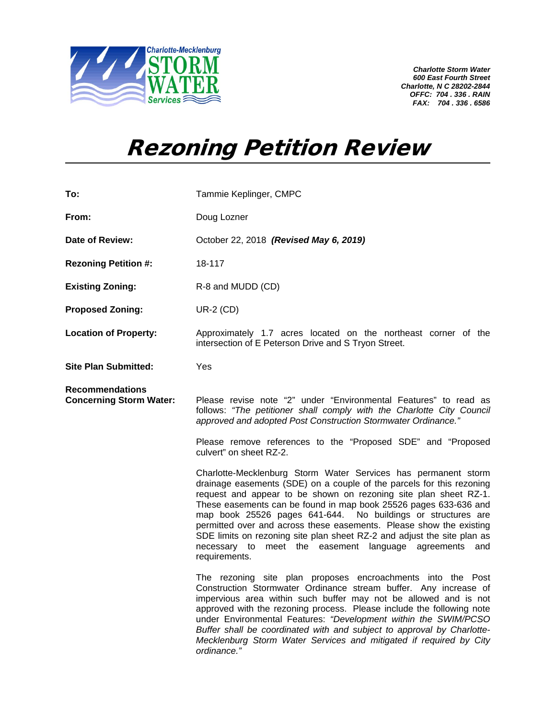

*Charlotte Storm Water 600 East Fourth Street Charlotte, N C 28202-2844 OFFC: 704 . 336 . RAIN FAX: 704 . 336 . 6586*

## Rezoning Petition Review

| To:                                                      | Tammie Keplinger, CMPC                                                                                                                                                                                                                                                                                                                                                                                                                                                                                                                                                             |
|----------------------------------------------------------|------------------------------------------------------------------------------------------------------------------------------------------------------------------------------------------------------------------------------------------------------------------------------------------------------------------------------------------------------------------------------------------------------------------------------------------------------------------------------------------------------------------------------------------------------------------------------------|
| From:                                                    | Doug Lozner                                                                                                                                                                                                                                                                                                                                                                                                                                                                                                                                                                        |
| Date of Review:                                          | October 22, 2018 (Revised May 6, 2019)                                                                                                                                                                                                                                                                                                                                                                                                                                                                                                                                             |
| <b>Rezoning Petition #:</b>                              | 18-117                                                                                                                                                                                                                                                                                                                                                                                                                                                                                                                                                                             |
| <b>Existing Zoning:</b>                                  | R-8 and MUDD (CD)                                                                                                                                                                                                                                                                                                                                                                                                                                                                                                                                                                  |
| <b>Proposed Zoning:</b>                                  | <b>UR-2 (CD)</b>                                                                                                                                                                                                                                                                                                                                                                                                                                                                                                                                                                   |
| <b>Location of Property:</b>                             | Approximately 1.7 acres located on the northeast corner of the<br>intersection of E Peterson Drive and S Tryon Street.                                                                                                                                                                                                                                                                                                                                                                                                                                                             |
| <b>Site Plan Submitted:</b>                              | Yes                                                                                                                                                                                                                                                                                                                                                                                                                                                                                                                                                                                |
| <b>Recommendations</b><br><b>Concerning Storm Water:</b> | Please revise note "2" under "Environmental Features" to read as<br>follows: "The petitioner shall comply with the Charlotte City Council<br>approved and adopted Post Construction Stormwater Ordinance."                                                                                                                                                                                                                                                                                                                                                                         |
|                                                          | Please remove references to the "Proposed SDE" and "Proposed<br>culvert" on sheet RZ-2.                                                                                                                                                                                                                                                                                                                                                                                                                                                                                            |
|                                                          | Charlotte-Mecklenburg Storm Water Services has permanent storm<br>drainage easements (SDE) on a couple of the parcels for this rezoning<br>request and appear to be shown on rezoning site plan sheet RZ-1.<br>These easements can be found in map book 25526 pages 633-636 and<br>map book 25526 pages 641-644. No buildings or structures are<br>permitted over and across these easements. Please show the existing<br>SDE limits on rezoning site plan sheet RZ-2 and adjust the site plan as<br>meet the easement language agreements<br>necessary to<br>and<br>requirements. |
|                                                          | The rezoning site plan proposes encroachments into the Post<br>Construction Stormwater Ordinance stream buffer. Any increase of<br>impervious area within such buffer may not be allowed and is not<br>approved with the rezoning process. Please include the following note<br>under Environmental Features: "Development within the SWIM/PCSO<br>Buffer shall be coordinated with and subject to approval by Charlotte-<br>Mecklenburg Storm Water Services and mitigated if required by City<br>ordinance."                                                                     |